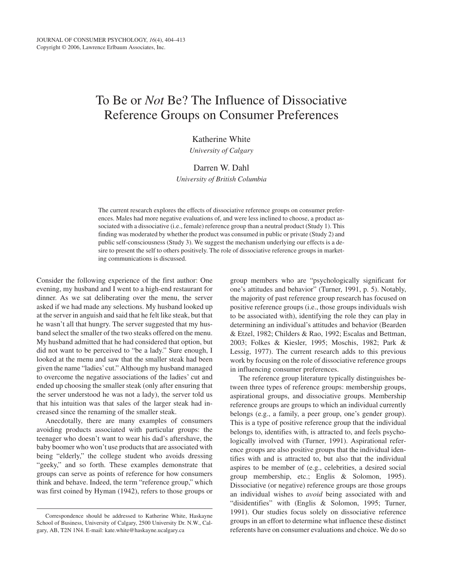# To Be or *Not* Be? The Influence of Dissociative Reference Groups on Consumer Preferences

Katherine White

*University of Calgary*

## Darren W. Dahl

*University of British Columbia*

The current research explores the effects of dissociative reference groups on consumer preferences. Males had more negative evaluations of, and were less inclined to choose, a product associated with a dissociative (i.e., female) reference group than a neutral product (Study 1). This finding was moderated by whether the product was consumed in public or private (Study 2) and public self-consciousness (Study 3). We suggest the mechanism underlying our effects is a desire to present the self to others positively. The role of dissociative reference groups in marketing communications is discussed.

Consider the following experience of the first author: One evening, my husband and I went to a high-end restaurant for dinner. As we sat deliberating over the menu, the server asked if we had made any selections. My husband looked up at the server in anguish and said that he felt like steak, but that he wasn't all that hungry. The server suggested that my husband select the smaller of the two steaks offered on the menu. My husband admitted that he had considered that option, but did not want to be perceived to "be a lady." Sure enough, I looked at the menu and saw that the smaller steak had been given the name "ladies'cut." Although my husband managed to overcome the negative associations of the ladies' cut and ended up choosing the smaller steak (only after ensuring that the server understood he was not a lady), the server told us that his intuition was that sales of the larger steak had increased since the renaming of the smaller steak.

Anecdotally, there are many examples of consumers avoiding products associated with particular groups: the teenager who doesn't want to wear his dad's aftershave, the baby boomer who won't use products that are associated with being "elderly," the college student who avoids dressing "geeky," and so forth. These examples demonstrate that groups can serve as points of reference for how consumers think and behave. Indeed, the term "reference group," which was first coined by Hyman (1942), refers to those groups or group members who are "psychologically significant for one's attitudes and behavior" (Turner, 1991, p. 5). Notably, the majority of past reference group research has focused on positive reference groups (i.e., those groups individuals wish to be associated with), identifying the role they can play in determining an individual's attitudes and behavior (Bearden & Etzel, 1982; Childers & Rao, 1992; Escalas and Bettman, 2003; Folkes & Kiesler, 1995; Moschis, 1982; Park & Lessig, 1977). The current research adds to this previous work by focusing on the role of dissociative reference groups in influencing consumer preferences.

The reference group literature typically distinguishes between three types of reference groups: membership groups, aspirational groups, and dissociative groups. Membership reference groups are groups to which an individual currently belongs (e.g., a family, a peer group, one's gender group). This is a type of positive reference group that the individual belongs to, identifies with, is attracted to, and feels psychologically involved with (Turner, 1991). Aspirational reference groups are also positive groups that the individual identifies with and is attracted to, but also that the individual aspires to be member of (e.g., celebrities, a desired social group membership, etc.; Englis & Solomon, 1995). Dissociative (or negative) reference groups are those groups an individual wishes to *avoid* being associated with and "disidentifies" with (Englis & Solomon, 1995; Turner, 1991). Our studies focus solely on dissociative reference groups in an effort to determine what influence these distinct referents have on consumer evaluations and choice. We do so

Correspondence should be addressed to Katherine White, Haskayne School of Business, University of Calgary, 2500 University Dr. N.W., Calgary, AB, T2N 1N4. E-mail: kate.white@haskayne.ucalgary.ca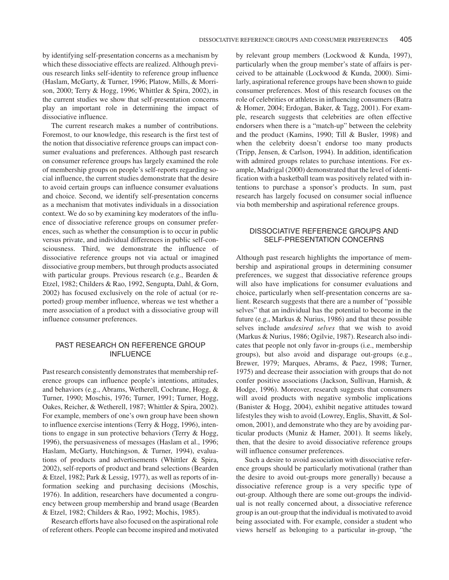by identifying self-presentation concerns as a mechanism by which these dissociative effects are realized. Although previous research links self-identity to reference group influence (Haslam, McGarty, & Turner, 1996; Platow, Mills, & Morrison, 2000; Terry & Hogg, 1996; Whittler & Spira, 2002), in the current studies we show that self-presentation concerns play an important role in determining the impact of dissociative influence.

The current research makes a number of contributions. Foremost, to our knowledge, this research is the first test of the notion that dissociative reference groups can impact consumer evaluations and preferences. Although past research on consumer reference groups has largely examined the role of membership groups on people's self-reports regarding social influence, the current studies demonstrate that the desire to avoid certain groups can influence consumer evaluations and choice. Second, we identify self-presentation concerns as a mechanism that motivates individuals in a dissociation context. We do so by examining key moderators of the influence of dissociative reference groups on consumer preferences, such as whether the consumption is to occur in public versus private, and individual differences in public self-consciousness. Third, we demonstrate the influence of dissociative reference groups not via actual or imagined dissociative group members, but through products associated with particular groups. Previous research (e.g., Bearden & Etzel, 1982; Childers & Rao, 1992, Sengupta, Dahl, & Gorn, 2002) has focused exclusively on the role of actual (or reported) group member influence, whereas we test whether a mere association of a product with a dissociative group will influence consumer preferences.

## PAST RESEARCH ON REFERENCE GROUP INFLUENCE

Past research consistently demonstrates that membership reference groups can influence people's intentions, attitudes, and behaviors (e.g., Abrams, Wetherell, Cochrane, Hogg, & Turner, 1990; Moschis, 1976; Turner, 1991; Turner, Hogg, Oakes, Reicher, & Wetherell, 1987; Whittler & Spira, 2002). For example, members of one's own group have been shown to influence exercise intentions (Terry & Hogg, 1996), intentions to engage in sun protective behaviors (Terry & Hogg, 1996), the persuasiveness of messages (Haslam et al., 1996; Haslam, McGarty, Hutchingson, & Turner, 1994), evaluations of products and advertisements (Whittler & Spira, 2002), self-reports of product and brand selections (Bearden & Etzel, 1982; Park & Lessig, 1977), as well as reports of information seeking and purchasing decisions (Moschis, 1976). In addition, researchers have documented a congruency between group membership and brand usage (Bearden & Etzel, 1982; Childers & Rao, 1992; Mochis, 1985).

Research efforts have also focused on the aspirational role of referent others. People can become inspired and motivated

by relevant group members (Lockwood & Kunda, 1997), particularly when the group member's state of affairs is perceived to be attainable (Lockwood & Kunda, 2000). Similarly, aspirational reference groups have been shown to guide consumer preferences. Most of this research focuses on the role of celebrities or athletes in influencing consumers (Batra & Homer, 2004; Erdogan, Baker, & Tagg, 2001). For example, research suggests that celebrities are often effective endorsers when there is a "match-up" between the celebrity and the product (Kamins, 1990; Till & Busler, 1998) and when the celebrity doesn't endorse too many products (Tripp, Jensen, & Carlson, 1994). In addition, identification with admired groups relates to purchase intentions. For example, Madrigal (2000) demonstrated that the level of identification with a basketball team was positively related with intentions to purchase a sponsor's products. In sum, past research has largely focused on consumer social influence via both membership and aspirational reference groups.

# DISSOCIATIVE REFERENCE GROUPS AND SELF-PRESENTATION CONCERNS

Although past research highlights the importance of membership and aspirational groups in determining consumer preferences, we suggest that dissociative reference groups will also have implications for consumer evaluations and choice, particularly when self-presentation concerns are salient. Research suggests that there are a number of "possible selves" that an individual has the potential to become in the future (e.g., Markus & Nurius, 1986) and that these possible selves include *undesired selves* that we wish to avoid (Markus & Nurius, 1986; Ogilvie, 1987). Research also indicates that people not only favor in-groups (i.e., membership groups), but also avoid and disparage out-groups (e.g., Brewer, 1979; Marques, Abrams, & Paez, 1998; Turner, 1975) and decrease their association with groups that do not confer positive associations (Jackson, Sullivan, Harnish, & Hodge, 1996). Moreover, research suggests that consumers will avoid products with negative symbolic implications (Banister & Hogg, 2004), exhibit negative attitudes toward lifestyles they wish to avoid (Lowrey, Englis, Shavitt, & Solomon, 2001), and demonstrate who they are by avoiding particular products (Muniz & Hamer, 2001). It seems likely, then, that the desire to avoid dissociative reference groups will influence consumer preferences.

Such a desire to avoid association with dissociative reference groups should be particularly motivational (rather than the desire to avoid out-groups more generally) because a dissociative reference group is a very specific type of out-group. Although there are some out-groups the individual is not really concerned about, a dissociative reference group is an out-group that the individual is motivated to avoid being associated with. For example, consider a student who views herself as belonging to a particular in-group, "the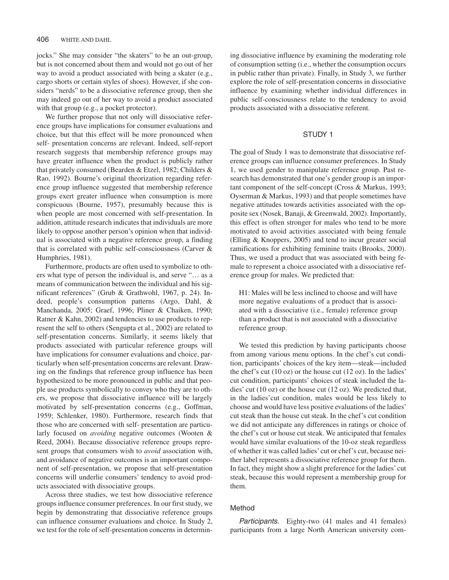jocks." She may consider "the skaters" to be an out-group, but is not concerned about them and would not go out of her way to avoid a product associated with being a skater (e.g., cargo shorts or certain styles of shoes). However, if she considers "nerds" to be a dissociative reference group, then she may indeed go out of her way to avoid a product associated with that group (e.g., a pocket protector).

We further propose that not only will dissociative reference groups have implications for consumer evaluations and choice, but that this effect will be more pronounced when self- presentation concerns are relevant. Indeed, self-report research suggests that membership reference groups may have greater influence when the product is publicly rather that privately consumed (Bearden & Etzel, 1982; Childers & Rao, 1992). Bourne's original theorization regarding reference group influence suggested that membership reference groups exert greater influence when consumption is more conspicuous (Bourne, 1957), presumably because this is when people are most concerned with self-presentation. In addition, attitude research indicates that individuals are more likely to oppose another person's opinion when that individual is associated with a negative reference group, a finding that is correlated with public self-consciousness (Carver & Humphries, 1981).

Furthermore, products are often used to symbolize to others what type of person the individual is, and serve "… as a means of communication between the individual and his significant references" (Grub & Grathwohl, 1967, p. 24). Indeed, people's consumption patterns (Argo, Dahl, & Manchanda, 2005; Graef, 1996; Pliner & Chaiken, 1990; Ratner & Kahn, 2002) and tendencies to use products to represent the self to others (Sengupta et al., 2002) are related to self-presentation concerns. Similarly, it seems likely that products associated with particular reference groups will have implications for consumer evaluations and choice, particularly when self-presentation concerns are relevant. Drawing on the findings that reference group influence has been hypothesized to be more pronounced in public and that people use products symbolically to convey who they are to others, we propose that dissociative influence will be largely motivated by self-presentation concerns (e.g., Goffman, 1959; Schlenker, 1980). Furthermore, research finds that those who are concerned with self- presentation are particularly focused on *avoiding* negative outcomes (Wooten & Reed, 2004). Because dissociative reference groups represent groups that consumers wish to *avoid* association with, and avoidance of negative outcomes is an important component of self-presentation, we propose that self-presentation concerns will underlie consumers' tendency to avoid products associated with dissociative groups.

Across three studies, we test how dissociative reference groups influence consumer preferences. In our first study, we begin by demonstrating that dissociative reference groups can influence consumer evaluations and choice. In Study 2, we test for the role of self-presentation concerns in determin-

ing dissociative influence by examining the moderating role of consumption setting (i.e., whether the consumption occurs in public rather than private). Finally, in Study 3, we further explore the role of self-presentation concerns in dissociative influence by examining whether individual differences in public self-consciousness relate to the tendency to avoid products associated with a dissociative referent.

#### STUDY 1

The goal of Study 1 was to demonstrate that dissociative reference groups can influence consumer preferences. In Study 1, we used gender to manipulate reference group. Past research has demonstrated that one's gender group is an important component of the self-concept (Cross & Markus, 1993; Oyserman & Markus, 1993) and that people sometimes have negative attitudes towards activities associated with the opposite sex (Nosek, Banaji, & Greenwald, 2002). Importantly, this effect is often stronger for males who tend to be more motivated to avoid activities associated with being female (Elling & Knoppers, 2005) and tend to incur greater social ramifications for exhibiting feminine traits (Brooks, 2000). Thus, we used a product that was associated with being female to represent a choice associated with a dissociative reference group for males. We predicted that:

H1: Males will be less inclined to choose and will have more negative evaluations of a product that is associated with a dissociative (i.e., female) reference group than a product that is not associated with a dissociative reference group.

We tested this prediction by having participants choose from among various menu options. In the chef's cut condition, participants' choices of the key item—steak—included the chef's cut (10 oz) or the house cut (12 oz). In the ladies' cut condition, participants' choices of steak included the ladies' cut (10 oz) or the house cut (12 oz). We predicted that, in the ladies'cut condition, males would be less likely to choose and would have less positive evaluations of the ladies' cut steak than the house cut steak. In the chef's cut condition we did not anticipate any differences in ratings or choice of the chef's cut or house cut steak. We anticipated that females would have similar evaluations of the 10-oz steak regardless of whether it was called ladies' cut or chef's cut, because neither label represents a dissociative reference group for them. In fact, they might show a slight preference for the ladies' cut steak, because this would represent a membership group for them.

# Method

Participants. Eighty-two (41 males and 41 females) participants from a large North American university com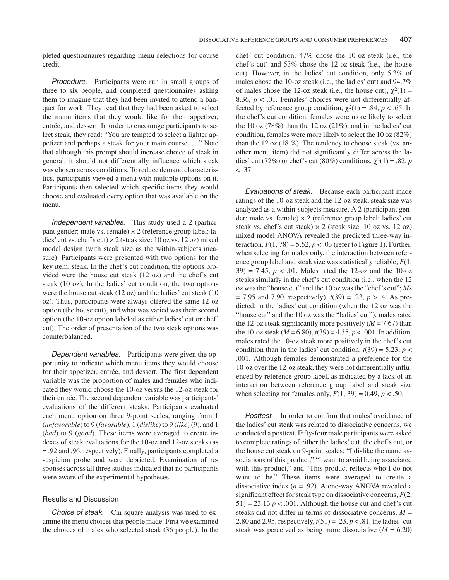pleted questionnaires regarding menu selections for course credit.

Procedure. Participants were run in small groups of three to six people, and completed questionnaires asking them to imagine that they had been invited to attend a banquet for work. They read that they had been asked to select the menu items that they would like for their appetizer, entrée, and dessert. In order to encourage participants to select steak, they read: "You are tempted to select a lighter appetizer and perhaps a steak for your main course. …" Note that although this prompt should increase choice of steak in general, it should not differentially influence which steak was chosen across conditions. To reduce demand characteristics, participants viewed a menu with multiple options on it. Participants then selected which specific items they would choose and evaluated every option that was available on the menu.

Independent variables. This study used a 2 (participant gender: male vs. female) × 2 (reference group label: ladies' cut vs. chef's cut)  $\times$  2 (steak size: 10 oz vs. 12 oz) mixed model design (with steak size as the within-subjects measure). Participants were presented with two options for the key item, steak. In the chef's cut condition, the options provided were the house cut steak (12 oz) and the chef's cut steak (10 oz). In the ladies' cut condition, the two options were the house cut steak (12 oz) and the ladies' cut steak (10 oz). Thus, participants were always offered the same 12-oz option (the house cut), and what was varied was their second option (the 10-oz option labeled as either ladies' cut or chef' cut). The order of presentation of the two steak options was counterbalanced.

Dependent variables. Participants were given the opportunity to indicate which menu items they would choose for their appetizer, entrée, and dessert. The first dependent variable was the proportion of males and females who indicated they would choose the 10-oz versus the 12-oz steak for their entrée. The second dependent variable was participants' evaluations of the different steaks. Participants evaluated each menu option on three 9-point scales, ranging from 1 (*unfavorable*) to 9 (*favorable*), 1 (*dislike*) to 9 (*like*) (9), and 1 (*bad*) to 9 (*good*). These items were averaged to create indexes of steak evaluations for the 10-oz and 12-oz steaks (as = .92 and .96, respectively). Finally, participants completed a suspicion probe and were debriefed. Examination of responses across all three studies indicated that no participants were aware of the experimental hypotheses.

## Results and Discussion

Choice of steak. Chi-square analysis was used to examine the menu choices that people made. First we examined the choices of males who selected steak (36 people). In the chef' cut condition, 47% chose the 10-oz steak (i.e., the chef's cut) and 53% chose the 12-oz steak (i.e., the house cut). However, in the ladies' cut condition, only 5.3% of males chose the 10-oz steak (i.e., the ladies' cut) and 94.7% of males chose the 12-oz steak (i.e., the house cut),  $\gamma^2(1)$  = 8.36,  $p < 0.01$ . Females' choices were not differentially affected by reference group condition,  $\chi^2(1) = .84$ ,  $p < .65$ . In the chef's cut condition, females were more likely to select the 10 oz  $(78%)$  than the 12 oz  $(21%)$ , and in the ladies' cut condition, females were more likely to select the 10 oz (82%) than the 12 oz (18 %). The tendency to choose steak (vs. another menu item) did not significantly differ across the ladies' cut (72%) or chef's cut (80%) conditions,  $\chi^2(1) = .82$ , *p*  $< .37.$ 

Evaluations of steak. Because each participant made ratings of the 10-oz steak and the 12-oz steak, steak size was analyzed as a within-subjects measure. A 2 (participant gender: male vs. female)  $\times$  2 (reference group label: ladies' cut steak vs. chef's cut steak)  $\times$  2 (steak size: 10 oz vs. 12 oz) mixed model ANOVA revealed the predicted three-way interaction,  $F(1, 78) = 5.52$ ,  $p < .03$  (refer to Figure 1). Further, when selecting for males only, the interaction between reference group label and steak size was statistically reliable, *F*(1,  $39$ ) = 7.45,  $p < .01$ . Males rated the 12-oz and the 10-oz steaks similarly in the chef's cut condition (i.e., when the 12 oz was the "house cut" and the 10 oz was the "chef's cut"; *M*s = 7.95 and 7.90, respectively), *t*(39) = .23, *p* > .4. As predicted, in the ladies' cut condition (when the 12 oz was the "house cut" and the 10 oz was the "ladies' cut"), males rated the 12-oz steak significantly more positively  $(M = 7.67)$  than the 10-oz steak ( $M = 6.80$ ),  $t(39) = 4.35$ ,  $p < .001$ . In addition, males rated the 10-oz steak more positively in the chef's cut condition than in the ladies' cut condition,  $t(39) = 5.23$ ,  $p <$ .001. Although females demonstrated a preference for the 10-oz over the 12-oz steak, they were not differentially influenced by reference group label, as indicated by a lack of an interaction between reference group label and steak size when selecting for females only,  $F(1, 39) = 0.49$ ,  $p < .50$ .

Posttest. In order to confirm that males' avoidance of the ladies' cut steak was related to dissociative concerns, we conducted a posttest. Fifty-four male participants were asked to complete ratings of either the ladies' cut, the chef's cut, or the house cut steak on 9-point scales: "I dislike the name associations of this product," "I want to avoid being associated with this product," and "This product reflects who I do not want to be." These items were averaged to create a dissociative index  $(a = .92)$ . A one-way ANOVA revealed a significant effect for steak type on dissociative concerns, *F*(2,  $51$ ) = 23.13 *p* < .001. Although the house cut and chef's cut steaks did not differ in terms of dissociative concerns,  $M =$ 2.80 and 2.95, respectively,  $t(51) = .23$ ,  $p < .81$ , the ladies' cut steak was perceived as being more dissociative  $(M = 6.20)$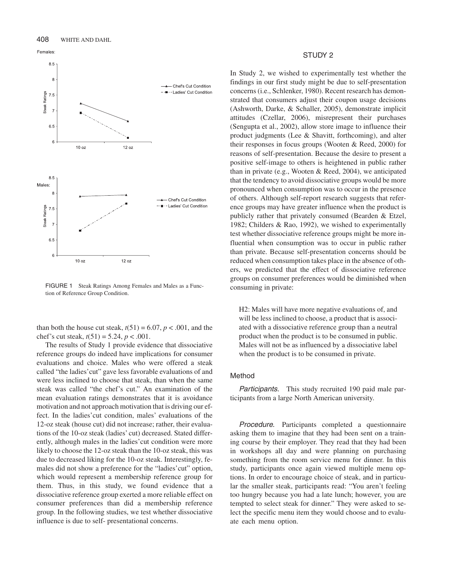

FIGURE 1 Steak Ratings Among Females and Males as a Function of Reference Group Condition.

than both the house cut steak,  $t(51) = 6.07$ ,  $p < .001$ , and the chef's cut steak,  $t(51) = 5.24$ ,  $p < .001$ .

The results of Study 1 provide evidence that dissociative reference groups do indeed have implications for consumer evaluations and choice. Males who were offered a steak called "the ladies'cut" gave less favorable evaluations of and were less inclined to choose that steak, than when the same steak was called "the chef's cut." An examination of the mean evaluation ratings demonstrates that it is avoidance motivation and not approach motivation that is driving our effect. In the ladies'cut condition, males' evaluations of the 12-oz steak (house cut) did not increase; rather, their evaluations of the 10-oz steak (ladies' cut) decreased. Stated differently, although males in the ladies'cut condition were more likely to choose the 12-oz steak than the 10-oz steak, this was due to decreased liking for the 10-oz steak. Interestingly, females did not show a preference for the "ladies'cut" option, which would represent a membership reference group for them. Thus, in this study, we found evidence that a dissociative reference group exerted a more reliable effect on consumer preferences than did a membership reference group. In the following studies, we test whether dissociative influence is due to self- presentational concerns.

#### STUDY 2

In Study 2, we wished to experimentally test whether the findings in our first study might be due to self-presentation concerns (i.e., Schlenker, 1980). Recent research has demonstrated that consumers adjust their coupon usage decisions (Ashworth, Darke, & Schaller, 2005), demonstrate implicit attitudes (Czellar, 2006), misrepresent their purchases (Sengupta et al., 2002), allow store image to influence their product judgments (Lee & Shavitt, forthcoming), and alter their responses in focus groups (Wooten & Reed, 2000) for reasons of self-presentation. Because the desire to present a positive self-image to others is heightened in public rather than in private (e.g., Wooten & Reed, 2004), we anticipated that the tendency to avoid dissociative groups would be more pronounced when consumption was to occur in the presence of others. Although self-report research suggests that reference groups may have greater influence when the product is publicly rather that privately consumed (Bearden & Etzel, 1982; Childers & Rao, 1992), we wished to experimentally test whether dissociative reference groups might be more influential when consumption was to occur in public rather than private. Because self-presentation concerns should be reduced when consumption takes place in the absence of others, we predicted that the effect of dissociative reference groups on consumer preferences would be diminished when consuming in private:

H2: Males will have more negative evaluations of, and will be less inclined to choose, a product that is associated with a dissociative reference group than a neutral product when the product is to be consumed in public. Males will not be as influenced by a dissociative label when the product is to be consumed in private.

### Method

Participants. This study recruited 190 paid male participants from a large North American university.

Procedure. Participants completed a questionnaire asking them to imagine that they had been sent on a training course by their employer. They read that they had been in workshops all day and were planning on purchasing something from the room service menu for dinner. In this study, participants once again viewed multiple menu options. In order to encourage choice of steak, and in particular the smaller steak, participants read: "You aren't feeling too hungry because you had a late lunch; however, you are tempted to select steak for dinner." They were asked to select the specific menu item they would choose and to evaluate each menu option.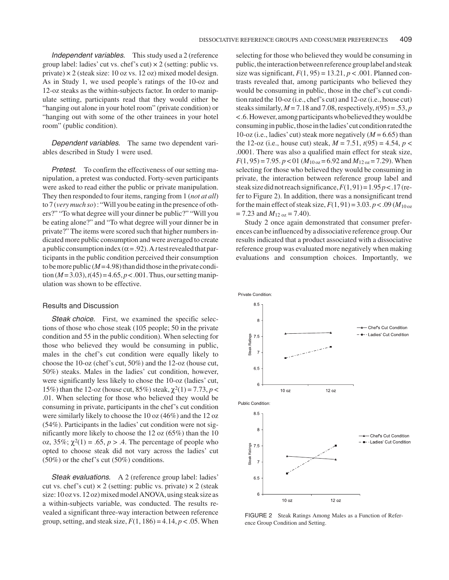Independent variables. This study used a 2 (reference group label: ladies' cut vs. chef's cut)  $\times$  2 (setting: public vs. private)  $\times$  2 (steak size: 10 oz vs. 12 oz) mixed model design. As in Study 1, we used people's ratings of the 10-oz and 12-oz steaks as the within-subjects factor. In order to manipulate setting, participants read that they would either be "hanging out alone in your hotel room" (private condition) or "hanging out with some of the other trainees in your hotel room" (public condition).

Dependent variables. The same two dependent variables described in Study 1 were used.

**Pretest.** To confirm the effectiveness of our setting manipulation, a pretest was conducted. Forty-seven participants were asked to read either the public or private manipulation. They then responded to four items, ranging from 1 (*not at all*) to 7 (*very much so*) : "Will you be eating in the presence of others?" "To what degree will your dinner be public?" "Will you be eating alone?" and "To what degree will your dinner be in private?" The items were scored such that higher numbers indicated more public consumption and were averaged to create a public consumption index ( $\alpha$  = .92). A *t* test revealed that participants in the public condition perceived their consumption to be more public  $(M=4.98)$  than did those in the private condition  $(M=3.03)$ ,  $t(45) = 4.65$ ,  $p < .001$ . Thus, our setting manipulation was shown to be effective.

#### Results and Discussion

Steak choice. First, we examined the specific selections of those who chose steak (105 people; 50 in the private condition and 55 in the public condition). When selecting for those who believed they would be consuming in public, males in the chef's cut condition were equally likely to choose the 10-oz (chef's cut, 50%) and the 12-oz (house cut, 50%) steaks. Males in the ladies' cut condition, however, were significantly less likely to chose the 10-oz (ladies' cut, 15%) than the 12-oz (house cut, 85%) steak,  $χ$ <sup>2</sup>(1) = 7.73, *p* < .01. When selecting for those who believed they would be consuming in private, participants in the chef's cut condition were similarly likely to choose the 10 oz (46%) and the 12 oz (54%). Participants in the ladies' cut condition were not significantly more likely to choose the 12 oz (65%) than the 10 oz,  $35\%$ ;  $\chi^2(1) = .65$ ,  $p > .4$ . The percentage of people who opted to choose steak did not vary across the ladies' cut (50%) or the chef's cut (50%) conditions.

Steak evaluations. A 2 (reference group label: ladies' cut vs. chef's cut)  $\times$  2 (setting: public vs. private)  $\times$  2 (steak size: 10 oz vs. 12 oz) mixed model ANOVA, using steak size as a within-subjects variable, was conducted. The results revealed a significant three-way interaction between reference group, setting, and steak size,  $F(1, 186) = 4.14$ ,  $p < .05$ . When

selecting for those who believed they would be consuming in public, the interaction between reference group label and steak size was significant,  $F(1, 95) = 13.21$ ,  $p < .001$ . Planned contrasts revealed that, among participants who believed they would be consuming in public, those in the chef's cut condition rated the 10-oz (i.e., chef's cut) and 12-oz (i.e., house cut) steaks similarly,  $M = 7.18$  and 7.08, respectively,  $t(95) = .53$ ,  $p$ <.6.However,amongparticipantswhobelievedtheywouldbe consuming in public, those in the ladies' cut condition rated the 10-oz (i.e., ladies' cut) steak more negatively  $(M = 6.65)$  than the 12-oz (i.e., house cut) steak,  $M = 7.51$ ,  $t(95) = 4.54$ ,  $p <$ .0001. There was also a qualified main effect for steak size,  $F(1, 95) = 7.95$ .  $p < 01$  ( $M_{10 \text{ oz}} = 6.92$  and  $M_{12 \text{ oz}} = 7.29$ ). When selecting for those who believed they would be consuming in private, the interaction between reference group label and steak size did not reach significance,  $F(1,91) = 1.95 p < .17$  (refer to Figure 2). In addition, there was a nonsignificant trend for the main effect of steak size,  $F(1, 91) = 3.03$ .  $p < .09$  ( $M_{10 \text{ oz}}$  $= 7.23$  and  $M_{12 \text{ oz}} = 7.40$ ).

Study 2 once again demonstrated that consumer preferences can be influenced by a dissociative reference group. Our results indicated that a product associated with a dissociative reference group was evaluated more negatively when making evaluations and consumption choices. Importantly, we



FIGURE 2 Steak Ratings Among Males as a Function of Reference Group Condition and Setting.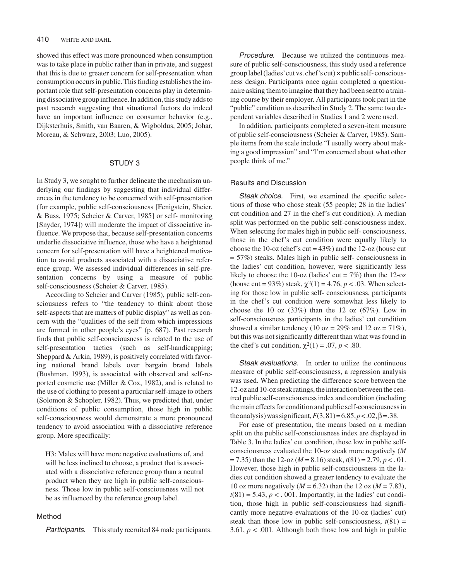showed this effect was more pronounced when consumption was to take place in public rather than in private, and suggest that this is due to greater concern for self-presentation when consumption occurs in public. This finding establishes the important role that self-presentation concerns play in determining dissociative group influence. In addition, this study adds to past research suggesting that situational factors do indeed have an important influence on consumer behavior (e.g., Dijksterhuis, Smith, van Baaren, & Wigboldus, 2005; Johar, Moreau, & Schwarz, 2003; Luo, 2005).

### STUDY 3

In Study 3, we sought to further delineate the mechanism underlying our findings by suggesting that individual differences in the tendency to be concerned with self-presentation (for example, public self-consciousness [Fenigstein, Sheier, & Buss, 1975; Scheier & Carver, 1985] or self- monitoring [Snyder, 1974]) will moderate the impact of dissociative influence. We propose that, because self-presentation concerns underlie dissociative influence, those who have a heightened concern for self-presentation will have a heightened motivation to avoid products associated with a dissociative reference group. We assessed individual differences in self-presentation concerns by using a measure of public self-consciousness (Scheier & Carver, 1985).

According to Scheier and Carver (1985), public self-consciousness refers to "the tendency to think about those self-aspects that are matters of public display" as well as concern with the "qualities of the self from which impressions are formed in other people's eyes" (p. 687). Past research finds that public self-consciousness is related to the use of self-presentation tactics (such as self-handicapping; Sheppard & Arkin, 1989), is positively correlated with favoring national brand labels over bargain brand labels (Bushman, 1993), is associated with observed and self-reported cosmetic use (Miller & Cox, 1982), and is related to the use of clothing to present a particular self-image to others (Solomon & Schopler, 1982). Thus, we predicted that, under conditions of public consumption, those high in public self-consciousness would demonstrate a more pronounced tendency to avoid association with a dissociative reference group. More specifically:

H3: Males will have more negative evaluations of, and will be less inclined to choose, a product that is associated with a dissociative reference group than a neutral product when they are high in public self-consciousness. Those low in public self-consciousness will not be as influenced by the reference group label.

## Method

Participants. This study recruited 84 male participants.

Procedure. Because we utilized the continuous measure of public self-consciousness, this study used a reference group label (ladies'cut vs. chef's cut) × public self- consciousness design. Participants once again completed a questionnaire asking them to imagine that they had been sent to a training course by their employer. All participants took part in the "public" condition as described in Study 2. The same two dependent variables described in Studies 1 and 2 were used.

In addition, participants completed a seven-item measure of public self-consciousness (Scheier & Carver, 1985). Sample items from the scale include "I usually worry about making a good impression" and "I'm concerned about what other people think of me."

## Results and Discussion

Steak choice. First, we examined the specific selections of those who chose steak (55 people; 28 in the ladies' cut condition and 27 in the chef's cut condition). A median split was performed on the public self-consciousness index. When selecting for males high in public self- consciousness, those in the chef's cut condition were equally likely to choose the 10-oz (chef's cut =  $43\%$ ) and the 12-oz (house cut = 57%) steaks. Males high in public self- consciousness in the ladies' cut condition, however, were significantly less likely to choose the 10-oz (ladies' cut =  $7\%$ ) than the 12-oz (house cut =  $93\%$ ) steak,  $\chi^2(1) = 4.76$ ,  $p < .03$ . When selecting for those low in public self- consciousness, participants in the chef's cut condition were somewhat less likely to choose the 10 oz  $(33%)$  than the 12 oz  $(67%)$ . Low in self-consciousness participants in the ladies' cut condition showed a similar tendency (10 oz =  $29\%$  and 12 oz =  $71\%$ ), but this was not significantly different than what was found in the chef's cut condition,  $\chi^2(1) = .07$ ,  $p < .80$ .

Steak evaluations. In order to utilize the continuous measure of public self-consciousness, a regression analysis was used. When predicting the difference score between the 12-oz and 10-oz steak ratings, the interaction between the centred public self-consciousness index and condition (including the main effects for condition and public self-consciousness in the analysis) was significant,  $F(3,81) = 6.85, p < .02, \beta = .38$ .

For ease of presentation, the means based on a median split on the public self-consciousness index are displayed in Table 3. In the ladies' cut condition, those low in public selfconsciousness evaluated the 10-oz steak more negatively (*M*  $= 7.35$ ) than the 12-oz ( $M = 8.16$ ) steak,  $t(81) = 2.79$ ,  $p < 0.01$ . However, those high in public self-consciousness in the ladies cut condition showed a greater tendency to evaluate the 10 oz more negatively  $(M = 6.32)$  than the 12 oz  $(M = 7.83)$ ,  $t(81) = 5.43$ ,  $p < .001$ . Importantly, in the ladies' cut condition, those high in public self-consciousness had significantly more negative evaluations of the 10-oz (ladies' cut) steak than those low in public self-consciousness,  $t(81) =$ 3.61,  $p < .001$ . Although both those low and high in public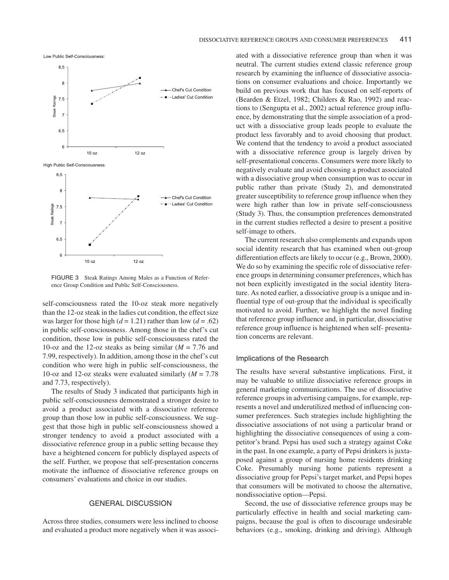

FIGURE 3 Steak Ratings Among Males as a Function of Reference Group Condition and Public Self-Consciousness.

self-consciousness rated the 10-oz steak more negatively than the 12-oz steak in the ladies cut condition, the effect size was larger for those high  $(d = 1.21)$  rather than low  $(d = .62)$ in public self-consciousness. Among those in the chef's cut condition, those low in public self-consciousness rated the 10-oz and the 12-oz steaks as being similar  $(M = 7.76$  and 7.99, respectively). In addition, among those in the chef's cut condition who were high in public self-consciousness, the 10-oz and 12-oz steaks were evaluated similarly (*M* = 7.78 and 7.73, respectively).

The results of Study 3 indicated that participants high in public self-consciousness demonstrated a stronger desire to avoid a product associated with a dissociative reference group than those low in public self-consciousness. We suggest that those high in public self-consciousness showed a stronger tendency to avoid a product associated with a dissociative reference group in a public setting because they have a heightened concern for publicly displayed aspects of the self. Further, we propose that self-presentation concerns motivate the influence of dissociative reference groups on consumers' evaluations and choice in our studies.

## GENERAL DISCUSSION

Across three studies, consumers were less inclined to choose and evaluated a product more negatively when it was associated with a dissociative reference group than when it was neutral. The current studies extend classic reference group research by examining the influence of dissociative associations on consumer evaluations and choice. Importantly we build on previous work that has focused on self-reports of (Bearden & Etzel, 1982; Childers & Rao, 1992) and reactions to (Sengupta et al., 2002) actual reference group influence, by demonstrating that the simple association of a product with a dissociative group leads people to evaluate the product less favorably and to avoid choosing that product. We contend that the tendency to avoid a product associated with a dissociative reference group is largely driven by self-presentational concerns. Consumers were more likely to negatively evaluate and avoid choosing a product associated with a dissociative group when consumption was to occur in public rather than private (Study 2), and demonstrated greater susceptibility to reference group influence when they were high rather than low in private self-consciousness (Study 3). Thus, the consumption preferences demonstrated in the current studies reflected a desire to present a positive self-image to others.

The current research also complements and expands upon social identity research that has examined when out-group differentiation effects are likely to occur (e.g., Brown, 2000). We do so by examining the specific role of dissociative reference groups in determining consumer preferences, which has not been explicitly investigated in the social identity literature. As noted earlier, a dissociative group is a unique and influential type of out-group that the individual is specifically motivated to avoid. Further, we highlight the novel finding that reference group influence and, in particular, dissociative reference group influence is heightened when self- presentation concerns are relevant.

#### Implications of the Research

The results have several substantive implications. First, it may be valuable to utilize dissociative reference groups in general marketing communications. The use of dissociative reference groups in advertising campaigns, for example, represents a novel and underutilized method of influencing consumer preferences. Such strategies include highlighting the dissociative associations of not using a particular brand or highlighting the dissociative consequences of using a competitor's brand. Pepsi has used such a strategy against Coke in the past. In one example, a party of Pepsi drinkers is juxtaposed against a group of nursing home residents drinking Coke. Presumably nursing home patients represent a dissociative group for Pepsi's target market, and Pepsi hopes that consumers will be motivated to choose the alternative, nondissociative option—Pepsi.

Second, the use of dissociative reference groups may be particularly effective in health and social marketing campaigns, because the goal is often to discourage undesirable behaviors (e.g., smoking, drinking and driving). Although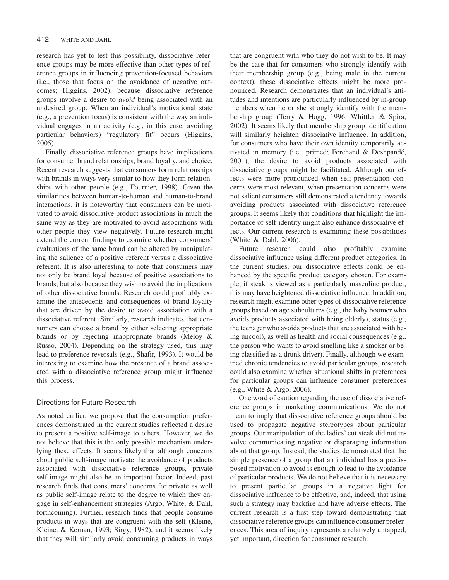research has yet to test this possibility, dissociative reference groups may be more effective than other types of reference groups in influencing prevention-focused behaviors (i.e., those that focus on the avoidance of negative outcomes; Higgins, 2002), because dissociative reference groups involve a desire to *avoid* being associated with an undesired group. When an individual's motivational state (e.g., a prevention focus) is consistent with the way an individual engages in an activity (e.g., in this case, avoiding particular behaviors) "regulatory fit" occurs (Higgins, 2005).

Finally, dissociative reference groups have implications for consumer brand relationships, brand loyalty, and choice. Recent research suggests that consumers form relationships with brands in ways very similar to how they form relationships with other people (e.g., Fournier, 1998). Given the similarities between human-to-human and human-to-brand interactions, it is noteworthy that consumers can be motivated to avoid dissociative product associations in much the same way as they are motivated to avoid associations with other people they view negatively. Future research might extend the current findings to examine whether consumers' evaluations of the same brand can be altered by manipulating the salience of a positive referent versus a dissociative referent. It is also interesting to note that consumers may not only be brand loyal because of positive associations to brands, but also because they wish to avoid the implications of other dissociative brands. Research could profitably examine the antecedents and consequences of brand loyalty that are driven by the desire to avoid association with a dissociative referent. Similarly, research indicates that consumers can choose a brand by either selecting appropriate brands or by rejecting inappropriate brands (Meloy & Russo, 2004). Depending on the strategy used, this may lead to preference reversals (e.g., Shafir, 1993). It would be interesting to examine how the presence of a brand associated with a dissociative reference group might influence this process.

### Directions for Future Research

As noted earlier, we propose that the consumption preferences demonstrated in the current studies reflected a desire to present a positive self-image to others. However, we do not believe that this is the only possible mechanism underlying these effects. It seems likely that although concerns about public self-image motivate the avoidance of products associated with dissociative reference groups, private self-image might also be an important factor. Indeed, past research finds that consumers' concerns for private as well as public self-image relate to the degree to which they engage in self-enhancement strategies (Argo, White, & Dahl, forthcoming). Further, research finds that people consume products in ways that are congruent with the self (Kleine, Kleine, & Kernan, 1993; Sirgy, 1982), and it seems likely that they will similarly avoid consuming products in ways that are congruent with who they do not wish to be. It may be the case that for consumers who strongly identify with their membership group (e.g., being male in the current context), these dissociative effects might be more pronounced. Research demonstrates that an individual's attitudes and intentions are particularly influenced by in-group members when he or she strongly identify with the membership group (Terry & Hogg, 1996; Whittler & Spira, 2002). It seems likely that membership group identification will similarly heighten dissociative influence. In addition, for consumers who have their own identity temporarily activated in memory (i.e., primed; Forehand & Deshpandé, 2001), the desire to avoid products associated with dissociative groups might be facilitated. Although our effects were more pronounced when self-presentation concerns were most relevant, when presentation concerns were not salient consumers still demonstrated a tendency towards avoiding products associated with dissociative reference groups. It seems likely that conditions that highlight the importance of self-identity might also enhance dissociative effects. Our current research is examining these possibilities (White & Dahl, 2006).

Future research could also profitably examine dissociative influence using different product categories. In the current studies, our dissociative effects could be enhanced by the specific product category chosen. For example, if steak is viewed as a particularly masculine product, this may have heightened dissociative influence. In addition, research might examine other types of dissociative reference groups based on age subcultures (e.g., the baby boomer who avoids products associated with being elderly), status (e.g., the teenager who avoids products that are associated with being uncool), as well as health and social consequences (e.g., the person who wants to avoid smelling like a smoker or being classified as a drunk driver). Finally, although we examined chronic tendencies to avoid particular groups, research could also examine whether situational shifts in preferences for particular groups can influence consumer preferences (e.g., White & Argo, 2006).

One word of caution regarding the use of dissociative reference groups in marketing communications: We do not mean to imply that dissociative reference groups should be used to propagate negative stereotypes about particular groups. Our manipulation of the ladies' cut steak did not involve communicating negative or disparaging information about that group. Instead, the studies demonstrated that the simple presence of a group that an individual has a predisposed motivation to avoid is enough to lead to the avoidance of particular products. We do not believe that it is necessary to present particular groups in a negative light for dissociative influence to be effective, and, indeed, that using such a strategy may backfire and have adverse effects. The current research is a first step toward demonstrating that dissociative reference groups can influence consumer preferences. This area of inquiry represents a relatively untapped, yet important, direction for consumer research.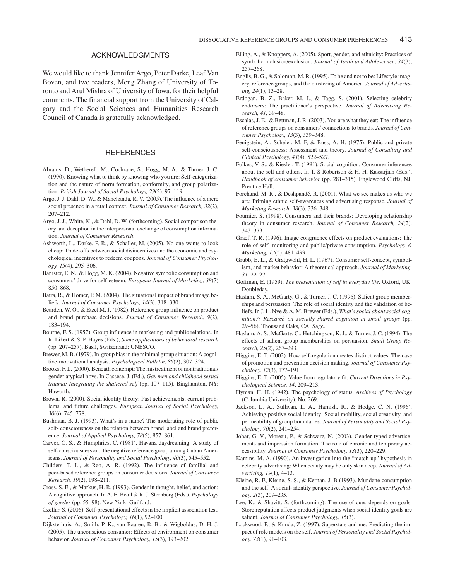#### ACKNOWLEDGMENTS

We would like to thank Jennifer Argo, Peter Darke, Leaf Van Boven, and two readers, Meng Zhang of University of Toronto and Arul Mishra of University of Iowa, for their helpful comments. The financial support from the University of Calgary and the Social Sciences and Humanities Research Council of Canada is gratefully acknowledged.

# **REFERENCES**

- Abrams, D., Wetherell, M., Cochrane, S., Hogg, M. A., & Turner, J. C. (1990). Knowing what to think by knowing who you are: Self-categorization and the nature of norm formation, conformity, and group polarization. *British Journal of Social Psychology, 29*(2), 97–119.
- Argo, J. J, Dahl, D. W., & Manchanda, R. V. (2005). The influence of a mere social presence in a retail context. *Journal of Consumer Research, 32*(2), 207–212.
- Argo, J. J., White, K., & Dahl, D. W. (forthcoming). Social comparison theory and deception in the interpersonal exchange of consumption information. *Journal of Consumer Research*.
- Ashworth, L., Darke, P. R., & Schaller, M. (2005). No one wants to look cheap: Trade-offs between social disincentives and the economic and psychological incentives to redeem coupons. *Journal of Consumer Psychology, 15*(4), 295–306.
- Banister, E. N., & Hogg, M. K. (2004). Negative symbolic consumption and consumers' drive for self-esteem. *European Journal of Marketing*, *38*(7) 850–868.
- Batra, R., & Homer, P. M. (2004). The situational impact of brand image beliefs. *Journal of Consumer Psychology, 14*(3), 318–330.
- Bearden, W. O., & Etzel M. J. (1982). Reference group influence on product and brand purchase decisions. *Journal of Consumer Research, 9*(2), 183–194.
- Bourne, F. S. (1957). Group influence in marketing and public relations. In R. Likert & S. P. Hayes (Eds.), *Some applications of behavioral research* (pp. 207–257). Basil, Switzerland: UNESCO.
- Brewer, M. B. (1979). In-group bias in the minimal group situation: A cognitive-motivational analysis. *Psychological Bulletin, 86*(2), 307–324.
- Brooks, F. L. (2000). Beneath contempt: The mistreatment of nontraditional/ gender atypical boys. In Cassese, J. (Ed.), *Gay men and childhood sexual trauma: Integrating the shattered self* (pp. 107–115). Binghamton, NY: Haworth.
- Brown, R. (2000). Social identity theory: Past achievements, current problems, and future challenges. *European Journal of Social Psychology, 30*(6), 745–778.
- Bushman, B. J. (1993). What's in a name? The moderating role of public self- consciousness on the relation between brand label and brand preference. *Journal of Applied Psychology, 78*(5), 857–861.
- Carver, C. S., & Humphries, C. (1981). Havana daydreaming: A study of self-consciousness and the negative reference group among Cuban Americans. *Journal of Personality and Social Psychology, 40*(3), 545–552.
- Childers, T. L., & Rao, A. R. (1992). The influence of familial and peer-based reference groups on consumer decisions. *Journal of Consumer Research, 19*(2), 198–211.
- Cross, S. E., & Markus, H. R. (1993). Gender in thought, belief, and action: A cognitive approach. In A. E. Beall & R. J. Sternberg (Eds.), *Psychology of gender* (pp. 55–98). New York: Guilford.
- Czellar, S. (2006). Self-presentational effects in the implicit association test. *Journal of Consumer Psychology, 16*(1), 92–100.
- Dijksterhuis, A., Smith, P. K., van Baaren, R. B., & Wigboldus, D. H. J. (2005). The unconscious consumer: Effects of environment on consumer behavior. *Journal of Consumer Psychology, 15*(3), 193–202.
- Elling, A., & Knoppers, A. (2005). Sport, gender, and ethnicity: Practices of symbolic inclusion/exclusion. *Journal of Youth and Adolescence, 34*(3), 257–268.
- Englis, B. G., & Solomon, M. R. (1995). To be and not to be: Lifestyle imagery, reference groups, and the clustering of America. *Journal of Advertising, 24*(1), 13–28.
- Erdogan, B. Z., Baker, M. J., & Tagg, S. (2001). Selecting celebrity endorsers: The practitioner's perspective. *Journal of Advertising Research, 41,* 39–48.
- Escalas, J. E., & Bettman, J. R. (2003). You are what they eat: The influence of reference groups on consumers'connections to brands. *Journal of Consumer Psychology, 13*(3), 339–348.
- Fenigstein, A., Scheier, M. F, & Buss, A. H. (1975). Public and private self-consciousness: Assessment and theory. *Journal of Consulting and Clinical Psychology, 43*(4), 522–527.
- Folkes, V. S., & Kiesler, T. (1991). Social cognition: Consumer inferences about the self and others. In T. S Robertson & H. H. Kassarjian (Eds.), *Handbook of consumer behavior* (pp. 281–315). Englewood Cliffs, NJ: Prentice Hall.
- Forehand, M. R., & Deshpandé, R. (2001). What we see makes us who we are: Priming ethnic self-awareness and advertising response. *Journal of Marketing Research, 38*(3), 336–348.
- Fournier, S. (1998). Consumers and their brands: Developing relationship theory in consumer research. *Journal of Consumer Research, 24*(2), 343–373.
- Graef, T. R. (1996). Image congruence effects on product evaluations: The role of self- monitoring and public/private consumption. *Psychology & Marketing, 13*(5), 481–499.
- Grubb, E. L., & Gratgwohl, H. L. (1967). Consumer self-concept, symbolism, and market behavior: A theoretical approach. *Journal of Marketing, 31,* 22–27.
- Goffman, E. (1959). *The presentation of self in everyday life*. Oxford, UK: Doubleday.
- Haslam, S. A., McGarty, G., & Turner, J. C. (1996). Salient group memberships and persuasion: The role of social identity and the validation of beliefs. In J. L. Nye & A. M. Brewer (Eds.), *What's social about social cognition?: Research on socially shared cognition in small groups* (pp. 29–56). Thousand Oaks, CA: Sage.
- Haslam, A. S., McGarty, C., Hutchingson, K. J., & Turner, J. C. (1994). The effects of salient group memberships on persuasion. *Small Group Research, 25*(2), 267–293.
- Higgins, E. T. (2002). How self-regulation creates distinct values: The case of promotion and prevention decision making. *Journal of Consumer Psychology, 12*(3), 177–191.
- Higgins, E. T. (2005). Value from regulatory fit. *Current Directions in Psychological Science, 14*, 209–213.
- Hyman, H. H. (1942). The psychology of status. *Archives of Psychology* (Columbia University), No. 269.
- Jackson, L. A., Sullivan, L. A., Harnish, R., & Hodge, C. N. (1996). Achieving positive social identity: Social mobility, social creativity, and permeability of group boundaries. *Journal of Personality and Social Psychology, 70*(2), 241–254.
- Johar, G. V., Moreau, P., & Schwarz, N. (2003). Gender typed advertisements and impression formation: The role of chronic and temporary accessibility. *Journal of Consumer Psychology, 13*(3), 220–229.
- Kamins, M. A. (1990). An investigation into the "match-up" hypothesis in celebrity advertising: When beauty may be only skin deep. *Journal of Advertising, 19*(1), 4–13.
- Kleine, R. E, Kleine, S. S., & Kernan, J. B (1993). Mundane consumption and the self: A social- identity perspective. *Journal of Consumer Psychology, 2*(3), 209–235.
- Lee, K., & Shavitt, S. (forthcoming). The use of cues depends on goals: Store reputation affects product judgments when social identity goals are salient. *Journal of Consumer Psychology, 16*(3).
- Lockwood, P., & Kunda, Z. (1997). Superstars and me: Predicting the impact of role models on the self. *Journal of Personality and Social Psychology, 73*(1), 91–103.